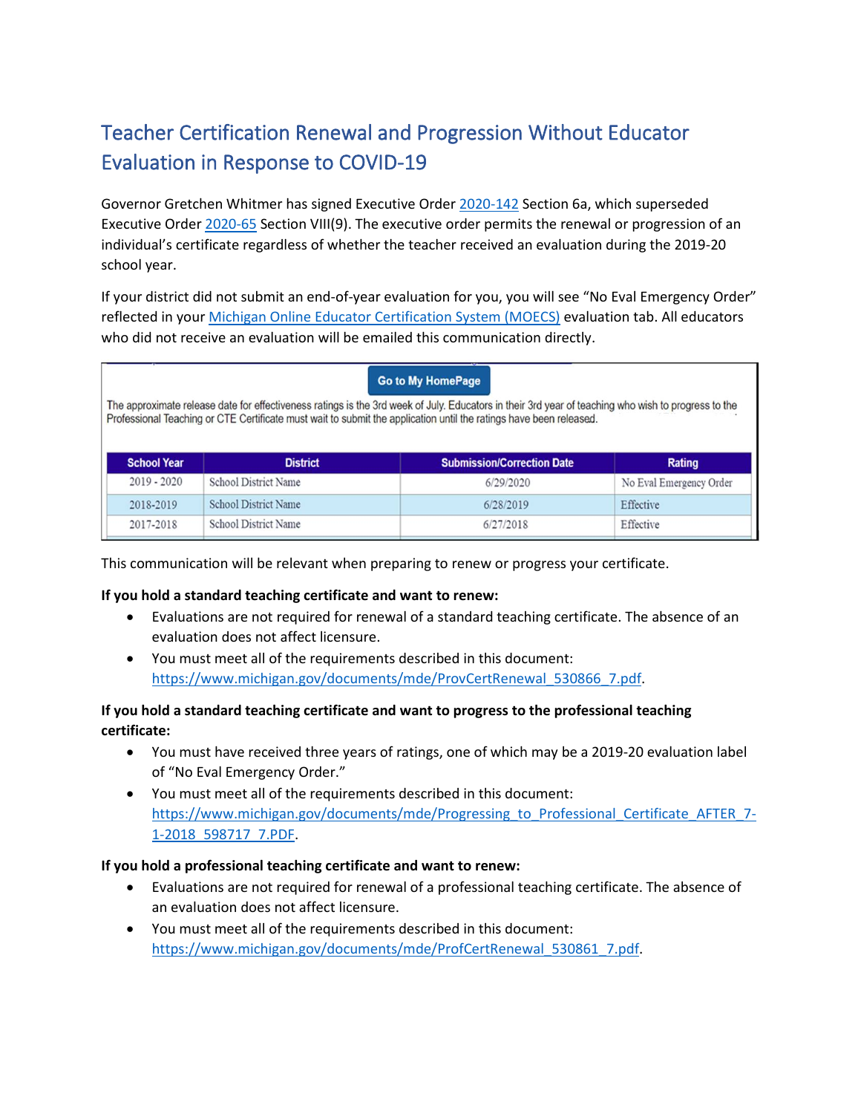# Teacher Certification Renewal and Progression Without Educator Evaluation in Response to COVID-19

Governor Gretchen Whitmer has signed Executive Order [2020-142](https://www.michigan.gov/whitmer/0,9309,7-387-90499_90705-533311--,00.html) Section 6a, which superseded Executive Order [2020-65](https://gcc01.safelinks.protection.outlook.com/?url=https%3A%2F%2Flnks.gd%2Fl%2FeyJhbGciOiJIUzI1NiJ9.eyJidWxsZXRpbl9saW5rX2lkIjoxMDEsInVyaSI6ImJwMjpjbGljayIsImJ1bGxldGluX2lkIjoiMjAyMDA0MzAuMjA4OTU2MDEiLCJ1cmwiOiJodHRwczovL2NvbnRlbnQuZ292ZGVsaXZlcnkuY29tL2F0dGFjaG1lbnRzL01JRU9HLzIwMjAvMDQvMzAvZmlsZV9hdHRhY2htZW50cy8xNDQwNTQ4L0VPJTIwMjAyMC02NSUyMEVtZXJnJTIwb3JkZXIlMjAtJTIwZWR1Y2F0aW9uJTIwLSUyMHJlLWlzc3VlLnBkZiJ9.73SRtqvf8V8IOdFtLHyzvupofrUbrUdQ4EuYyUn9FQA%2Fbr%2F78097227321-l&data=02%7C01%7Csaylort%40michigan.gov%7Ce28312b8c2e64bd7996008d7ed5ec5d4%7Cd5fb7087377742ad966a892ef47225d1%7C0%7C0%7C637238863609487781&sdata=qTt5t%2FCFwSagoJa0m3Gfn4qkFQG%2FfojV0%2BI6M2b3nNQ%3D&reserved=0) Section VIII(9). The executive order permits the renewal or progression of an individual's certificate regardless of whether the teacher received an evaluation during the 2019-20 school year.

If your district did not submit an end-of-year evaluation for you, you will see "No Eval Emergency Order" reflected in you[r Michigan Online Educator Certification System \(MOECS\)](http://www.michigan.gov/mde/0,4615,7-140-5683_57223---,00.html) evaluation tab. All educators who did not receive an evaluation will be emailed this communication directly.

| <b>Go to My HomePage</b><br>The approximate release date for effectiveness ratings is the 3rd week of July. Educators in their 3rd year of teaching who wish to progress to the<br>Professional Teaching or CTE Certificate must wait to submit the application until the ratings have been released. |                             |                                   |                         |
|-------------------------------------------------------------------------------------------------------------------------------------------------------------------------------------------------------------------------------------------------------------------------------------------------------|-----------------------------|-----------------------------------|-------------------------|
| <b>School Year</b>                                                                                                                                                                                                                                                                                    | <b>District</b>             | <b>Submission/Correction Date</b> | <b>Rating</b>           |
| $2019 - 2020$                                                                                                                                                                                                                                                                                         | <b>School District Name</b> | 6/29/2020                         | No Eval Emergency Order |
| 2018-2019                                                                                                                                                                                                                                                                                             | <b>School District Name</b> | 6/28/2019                         | Effective               |
| 2017-2018                                                                                                                                                                                                                                                                                             | <b>School District Name</b> | 6/27/2018                         | Effective               |

This communication will be relevant when preparing to renew or progress your certificate.

#### **If you hold a standard teaching certificate and want to renew:**

- Evaluations are not required for renewal of a standard teaching certificate. The absence of an evaluation does not affect licensure.
- You must meet all of the requirements described in this document: [https://www.michigan.gov/documents/mde/ProvCertRenewal\\_530866\\_7.pdf.](https://www.michigan.gov/documents/mde/ProvCertRenewal_530866_7.pdf)

### **If you hold a standard teaching certificate and want to progress to the professional teaching certificate:**

- You must have received three years of ratings, one of which may be a 2019-20 evaluation label of "No Eval Emergency Order."
- You must meet all of the requirements described in this document: [https://www.michigan.gov/documents/mde/Progressing\\_to\\_Professional\\_Certificate\\_AFTER\\_7-](https://www.michigan.gov/documents/mde/Progressing_to_Professional_Certificate_AFTER_7-1-2018_598717_7.PDF) [1-2018\\_598717\\_7.PDF.](https://www.michigan.gov/documents/mde/Progressing_to_Professional_Certificate_AFTER_7-1-2018_598717_7.PDF)

#### **If you hold a professional teaching certificate and want to renew:**

- Evaluations are not required for renewal of a professional teaching certificate. The absence of an evaluation does not affect licensure.
- You must meet all of the requirements described in this document: [https://www.michigan.gov/documents/mde/ProfCertRenewal\\_530861\\_7.pdf.](https://www.michigan.gov/documents/mde/ProfCertRenewal_530861_7.pdf)